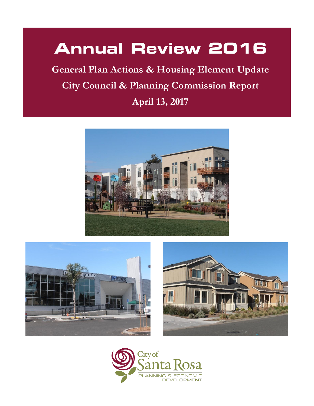# **Annual Review 2016**

**General Plan Actions & Housing Element Update City Council & Planning Commission Report April 13, 2017**







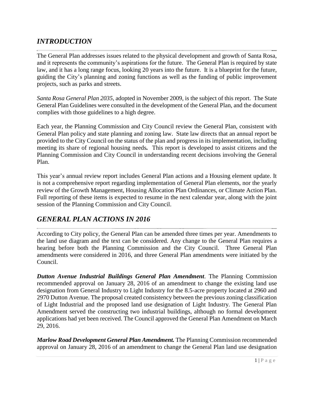# *INTRODUCTION*

The General Plan addresses issues related to the physical development and growth of Santa Rosa, and it represents the community's aspirations for the future. The General Plan is required by state law, and it has a long range focus, looking 20 years into the future. It is a blueprint for the future, guiding the City's planning and zoning functions as well as the funding of public improvement projects, such as parks and streets.

*Santa Rosa General Plan 2035*, adopted in November 2009, is the subject of this report. The State General Plan Guidelines were consulted in the development of the General Plan, and the document complies with those guidelines to a high degree.

Each year, the Planning Commission and City Council review the General Plan, consistent with General Plan policy and state planning and zoning law. State law directs that an annual report be provided to the City Council on the status of the plan and progress in its implementation, including meeting its share of regional housing needs*.* This report is developed to assist citizens and the Planning Commission and City Council in understanding recent decisions involving the General Plan.

This year's annual review report includes General Plan actions and a Housing element update. It is not a comprehensive report regarding implementation of General Plan elements, nor the yearly review of the Growth Management, Housing Allocation Plan Ordinances, or Climate Action Plan. Full reporting of these items is expected to resume in the next calendar year, along with the joint session of the Planning Commission and City Council.

# *GENERAL PLAN ACTIONS IN 2016*

According to City policy, the General Plan can be amended three times per year. Amendments to the land use diagram and the text can be considered. Any change to the General Plan requires a hearing before both the Planning Commission and the City Council. Three General Plan amendments were considered in 2016, and three General Plan amendments were initiated by the Council.

*Dutton Avenue Industrial Buildings General Plan Amendment*. The Planning Commission recommended approval on January 28, 2016 of an amendment to change the existing land use designation from General Industry to Light Industry for the 8.5-acre property located at 2960 and 2970 Dutton Avenue. The proposal created consistency between the previous zoning classification of Light Industrial and the proposed land use designation of Light Industry. The General Plan Amendment served the constructing two industrial buildings, although no formal development applications had yet been received. The Council approved the General Plan Amendment on March 29, 2016.

*Marlow Road Development General Plan Amendment.* The Planning Commission recommended approval on January 28, 2016 of an amendment to change the General Plan land use designation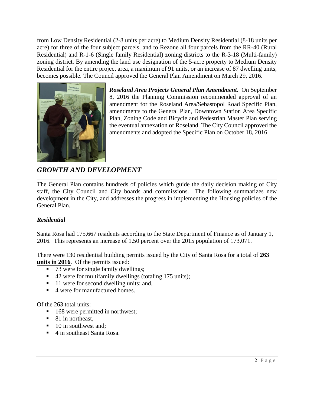from Low Density Residential (2-8 units per acre) to Medium Density Residential (8-18 units per acre) for three of the four subject parcels, and to Rezone all four parcels from the RR-40 (Rural Residential) and R-1-6 (Single family Residential) zoning districts to the R-3-18 (Multi-family) zoning district. By amending the land use designation of the 5-acre property to Medium Density Residential for the entire project area, a maximum of 91 units, or an increase of 87 dwelling units, becomes possible. The Council approved the General Plan Amendment on March 29, 2016.



*Roseland Area Projects General Plan Amendment.* On September 8, 2016 the Planning Commission recommended approval of an amendment for the Roseland Area/Sebastopol Road Specific Plan, amendments to the General Plan, Downtown Station Area Specific Plan, Zoning Code and Bicycle and Pedestrian Master Plan serving the eventual annexation of Roseland. The City Council approved the amendments and adopted the Specific Plan on October 18, 2016.

# *GROWTH AND DEVELOPMENT*

The General Plan contains hundreds of policies which guide the daily decision making of City staff, the City Council and City boards and commissions. The following summarizes new development in the City, and addresses the progress in implementing the Housing policies of the General Plan.

# *Residential*

Santa Rosa had 175,667 residents according to the State Department of Finance as of January 1, 2016. This represents an increase of 1.50 percent over the 2015 population of 173,071.

There were 130 residential building permits issued by the City of Santa Rosa for a total of **263 units in 2016**. Of the permits issued:

- $\overline{\phantom{a}}$  73 were for single family dwellings;
- 42 were for multifamily dwellings (totaling 175 units);
- 11 were for second dwelling units; and,
- 4 were for manufactured homes.

Of the 263 total units:

- 168 were permitted in northwest;
- 81 in northeast,
- 10 in southwest and:
- 4 in southeast Santa Rosa.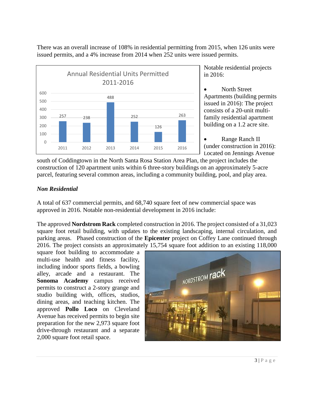There was an overall increase of 108% in residential permitting from 2015, when 126 units were issued permits, and a 4% increase from 2014 when 252 units were issued permits.



Notable residential projects in 2016:

 North Street Apartments (building permits issued in 2016): The project consists of a 20-unit multifamily residential apartment building on a 1.2 acre site.

 Range Ranch II (under construction in 2016): Located on Jennings Avenue

south of Coddingtown in the North Santa Rosa Station Area Plan, the project includes the construction of 120 apartment units within 6 three-story buildings on an approximately 5-acre parcel, featuring several common areas, including a community building, pool, and play area.

# *Non Residential*

A total of 637 commercial permits, and 68,740 square feet of new commercial space was approved in 2016. Notable non-residential development in 2016 include:

The approved **Nordstrom Rack** completed construction in 2016. The project consisted of a 31,023 square foot retail building, with updates to the existing landscaping, internal circulation, and parking areas. Phased construction of the **Epicenter** project on Coffey Lane continued through 2016. The project consists an approximately 15,754 square foot addition to an existing 118,000

square foot building to accommodate a multi-use health and fitness facility, including indoor sports fields, a bowling alley, arcade and a restaurant. The **Sonoma Academy** campus received permits to construct a 2-story grange and studio building with, offices, studios, dining areas, and teaching kitchen. The approved **Pollo Loco** on Cleveland Avenue has received permits to begin site preparation for the new 2,973 square foot drive-through restaurant and a separate 2,000 square foot retail space.

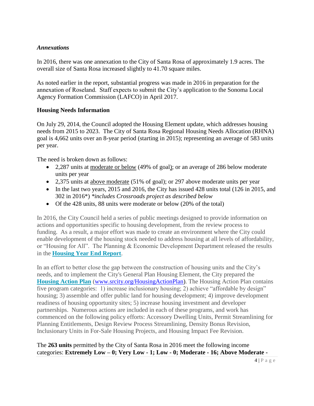#### *Annexations*

In 2016, there was one annexation to the City of Santa Rosa of approximately 1.9 acres. The overall size of Santa Rosa increased slightly to 41.70 square miles.

As noted earlier in the report, substantial progress was made in 2016 in preparation for the annexation of Roseland. Staff expects to submit the City's application to the Sonoma Local Agency Formation Commission (LAFCO) in April 2017.

#### **Housing Needs Information**

On July 29, 2014, the Council adopted the Housing Element update, which addresses housing needs from 2015 to 2023. The City of Santa Rosa Regional Housing Needs Allocation (RHNA) goal is 4,662 units over an 8-year period (starting in 2015); representing an average of 583 units per year.

The need is broken down as follows:

- 2,287 units at moderate or below (49% of goal); or an average of 286 below moderate units per year
- 2,375 units at above moderate (51% of goal); or 297 above moderate units per year
- In the last two years, 2015 and 2016, the City has issued 428 units total (126 in 2015, and 302 in 2016\*) *\*includes Crossroads project as described below*
- Of the 428 units, 88 units were moderate or below (20% of the total)

In 2016, the City Council held a series of public meetings designed to provide information on actions and opportunities specific to housing development, from the review process to funding. As a result, a major effort was made to create an environment where the City could enable development of the housing stock needed to address housing at all levels of affordability, or "Housing for All". The Planning & Economic Development Department released the results in the **[Housing Year End Report](http://srcity.org/doclib/Documents/Housing_2016YearEnd_FINAL.pdf)**.

In an effort to better close the gap between the construction of housing units and the City's needs, and to implement the City's General Plan Housing Element, the City prepared the **[Housing Action Plan](http://srcity.org/doclib/Documents/Housing%20Action%20Plan%202016%20-%20FINAL.pdf)** [\(www.srcity.org/HousingActionPlan\)](http://www.srcity.org/HousingActionPlan). The Housing Action Plan contains five program categories: 1) increase inclusionary housing; 2) achieve "affordable by design" housing; 3) assemble and offer public land for housing development; 4) improve development readiness of housing opportunity sites; 5) increase housing investment and developer partnerships. Numerous actions are included in each of these programs, and work has commenced on the following policy efforts: Accessory Dwelling Units, Permit Streamlining for Planning Entitlements, Design Review Process Streamlining, Density Bonus Revision, Inclusionary Units in For-Sale Housing Projects, and Housing Impact Fee Revision.

The **263 units** permitted by the City of Santa Rosa in 2016 meet the following income categories: **Extremely Low – 0; Very Low - 1; Low - 0; Moderate - 16; Above Moderate -**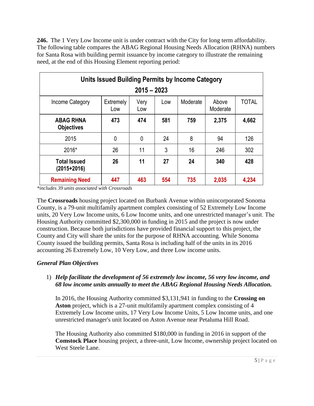**246.** The 1 Very Low Income unit is under contract with the City for long term affordability. The following table compares the ABAG Regional Housing Needs Allocation (RHNA) numbers for Santa Rosa with building permit issuance by income category to illustrate the remaining need, at the end of this Housing Element reporting period:

| Units Issued Building Permits by Income Category<br>$2015 - 2023$ |                  |             |     |          |                   |              |
|-------------------------------------------------------------------|------------------|-------------|-----|----------|-------------------|--------------|
| Income Category                                                   | Extremely<br>Low | Very<br>Low | Low | Moderate | Above<br>Moderate | <b>TOTAL</b> |
| <b>ABAG RHNA</b><br><b>Objectives</b>                             | 473              | 474         | 581 | 759      | 2,375             | 4,662        |
| 2015                                                              | 0                | 0           | 24  | 8        | 94                | 126          |
| 2016*                                                             | 26               | 11          | 3   | 16       | 246               | 302          |
| <b>Total Issued</b><br>$(2015+2016)$                              | 26               | 11          | 27  | 24       | 340               | 428          |
| <b>Remaining Need</b>                                             | 447              | 463         | 554 | 735      | 2,035             | 4,234        |

*\*includes 39 units associated with Crossroads*

The **Crossroads** housing project located on Burbank Avenue within unincorporated Sonoma County, is a 79-unit multifamily apartment complex consisting of 52 Extremely Low Income units, 20 Very Low Income units, 6 Low Income units, and one unrestricted manager's unit. The Housing Authority committed \$2,300,000 in funding in 2015 and the project is now under construction. Because both jurisdictions have provided financial support to this project, the County and City will share the units for the purpose of RHNA accounting. While Sonoma County issued the building permits, Santa Rosa is including half of the units in its 2016 accounting 26 Extremely Low, 10 Very Low, and three Low income units.

# *General Plan Objectives*

# 1) *Help facilitate the development of 56 extremely low income, 56 very low income, and 68 low income units annually to meet the ABAG Regional Housing Needs Allocation.*

In 2016, the Housing Authority committed \$3,131,941 in funding to the **Crossing on Aston** project, which is a 27-unit multifamily apartment complex consisting of 4 Extremely Low Income units, 17 Very Low Income Units, 5 Low Income units, and one unrestricted manager's unit located on Aston Avenue near Petaluma Hill Road.

The Housing Authority also committed \$180,000 in funding in 2016 in support of the **Comstock Place** housing project, a three-unit, Low Income, ownership project located on West Steele Lane.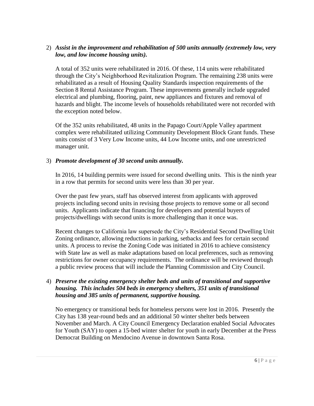## 2) *Assist in the improvement and rehabilitation of 500 units annually (extremely low, very low, and low income housing units).*

A total of 352 units were rehabilitated in 2016. Of these, 114 units were rehabilitated through the City's Neighborhood Revitalization Program. The remaining 238 units were rehabilitated as a result of Housing Quality Standards inspection requirements of the Section 8 Rental Assistance Program. These improvements generally include upgraded electrical and plumbing, flooring, paint, new appliances and fixtures and removal of hazards and blight. The income levels of households rehabilitated were not recorded with the exception noted below.

Of the 352 units rehabilitated, 48 units in the Papago Court/Apple Valley apartment complex were rehabilitated utilizing Community Development Block Grant funds. These units consist of 3 Very Low Income units, 44 Low Income units, and one unrestricted manager unit.

## 3) *Promote development of 30 second units annually.*

In 2016, 14 building permits were issued for second dwelling units. This is the ninth year in a row that permits for second units were less than 30 per year.

Over the past few years, staff has observed interest from applicants with approved projects including second units in revising those projects to remove some or all second units. Applicants indicate that financing for developers and potential buyers of projects/dwellings with second units is more challenging than it once was.

Recent changes to California law supersede the City's Residential Second Dwelling Unit Zoning ordinance, allowing reductions in parking, setbacks and fees for certain second units. A process to revise the Zoning Code was initiated in 2016 to achieve consistency with State law as well as make adaptations based on local preferences, such as removing restrictions for owner occupancy requirements. The ordinance will be reviewed through a public review process that will include the Planning Commission and City Council.

#### 4) *Preserve the existing emergency shelter beds and units of transitional and supportive housing. This includes 504 beds in emergency shelters, 351 units of transitional housing and 385 units of permanent, supportive housing.*

No emergency or transitional beds for homeless persons were lost in 2016. Presently the City has 138 year-round beds and an additional 50 winter shelter beds between November and March. A City Council Emergency Declaration enabled Social Advocates for Youth (SAY) to open a 15-bed winter shelter for youth in early December at the Press Democrat Building on Mendocino Avenue in downtown Santa Rosa.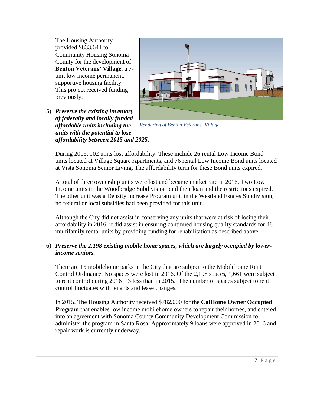The Housing Authority provided \$833,641 to Community Housing Sonoma County for the development of **Benton Veterans' Village**, a 7 unit low income permanent, supportive housing facility. This project received funding previously.

5) *Preserve the existing inventory of federally and locally funded affordable units including the units with the potential to lose affordability between 2015 and 2025.*



*Rendering of Benton Veterans' Village*

During 2016, 102 units lost affordability. These include 26 rental Low Income Bond units located at Village Square Apartments, and 76 rental Low Income Bond units located at Vista Sonoma Senior Living. The affordability term for these Bond units expired.

A total of three ownership units were lost and became market rate in 2016. Two Low Income units in the Woodbridge Subdivision paid their loan and the restrictions expired. The other unit was a Density Increase Program unit in the Westland Estates Subdivision; no federal or local subsidies had been provided for this unit.

Although the City did not assist in conserving any units that were at risk of losing their affordability in 2016, it did assist in ensuring continued housing quality standards for 48 multifamily rental units by providing funding for rehabilitation as described above.

## 6) *Preserve the 2,198 existing mobile home spaces, which are largely occupied by lowerincome seniors.*

There are 15 mobilehome parks in the City that are subject to the Mobilehome Rent Control Ordinance. No spaces were lost in 2016. Of the 2,198 spaces, 1,661 were subject to rent control during 2016—3 less than in 2015. The number of spaces subject to rent control fluctuates with tenants and lease changes.

In 2015, The Housing Authority received \$782,000 for the **CalHome Owner Occupied Program** that enables low income mobilehome owners to repair their homes, and entered into an agreement with Sonoma County Community Development Commission to administer the program in Santa Rosa. Approximately 9 loans were approved in 2016 and repair work is currently underway.